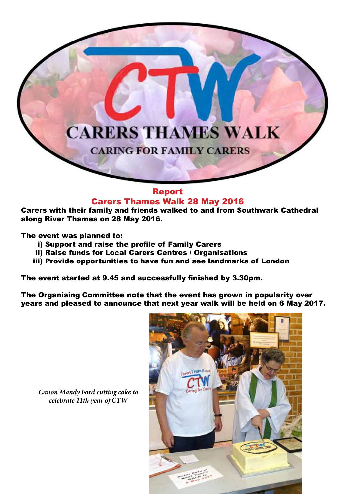## **CARERS THAMES WALK**

**CARING FOR FAMILY CARERS** 

## Report Carers Thames Walk 28 May 2016

Carers with their family and friends walked to and from Southwark Cathedral along River Thames on 28 May 2016.

The event was planned to:

- i) Support and raise the profile of Family Carers
- ii) Raise funds for Local Carers Centres / Organisations
- iii) Provide opportunities to have fun and see landmarks of London

The event started at 9.45 and successfully finished by 3.30pm.

The Organising Committee note that the event has grown in popularity over years and pleased to announce that next year walk will be held on 6 May 2017.



*Canon Mandy Ford cutting cake to celebrate 11th year of CTW*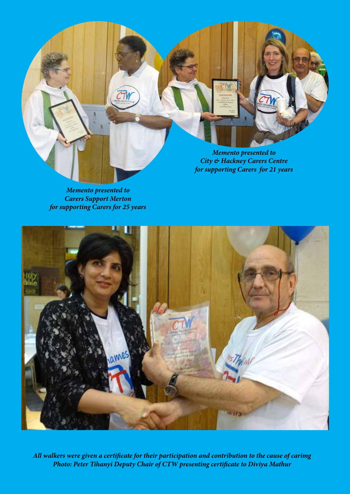

*Memento presented to Carers Support Merton for supporting Carers for 25 years*



*All walkers were given a certificate for their participation and contribution to the cause of carimg Photo: Peter Tihanyi Deputy Chair of CTW presenting certificate to Diviya Mathur*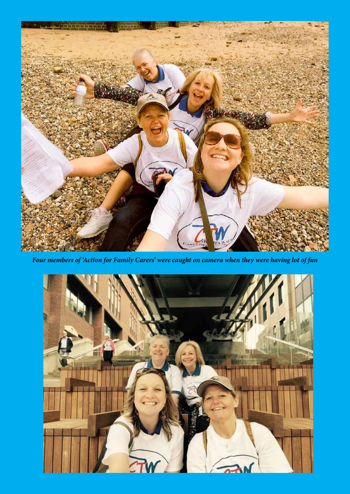

*Four members of 'Action for Family Carers' were caught on camera when they were having lot of fun*

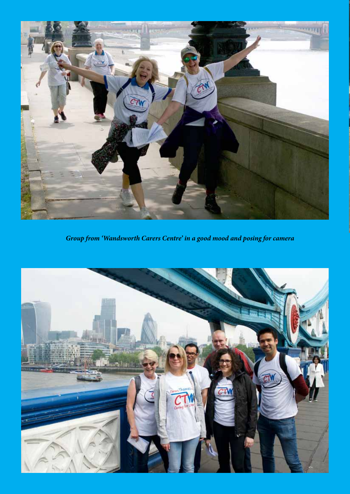

*Group from 'Wandsworth Carers Centre' in a good mood and posing for camera* 

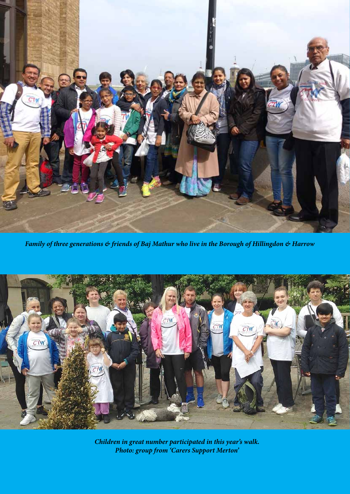

*Family of three generations & friends of Baj Mathur who live in the Borough of Hillingdon & Harrow*



*Children in great number participated in this year's walk. Photo: group from 'Carers Support Merton'*